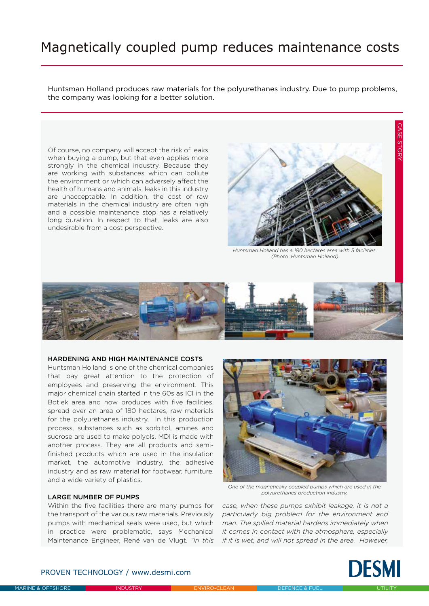# Magnetically coupled pump reduces maintenance costs

Huntsman Holland produces raw materials for the polyurethanes industry. Due to pump problems, the company was looking for a better solution.

Of course, no company will accept the risk of leaks when buying a pump, but that even applies more strongly in the chemical industry. Because they are working with substances which can pollute the environment or which can adversely affect the health of humans and animals, leaks in this industry are unacceptable. In addition, the cost of raw materials in the chemical industry are often high and a possible maintenance stop has a relatively long duration. In respect to that, leaks are also undesirable from a cost perspective.



*Huntsman Holland has a 180 hectares area with 5 facilities. (Photo: Huntsman Holland)*



#### HARDENING AND HIGH MAINTENANCE COSTS

Huntsman Holland is one of the chemical companies that pay great attention to the protection of employees and preserving the environment. This major chemical chain started in the 60s as ICI in the Botlek area and now produces with five facilities, spread over an area of 180 hectares, raw materials for the polyurethanes industry. In this production process, substances such as sorbitol, amines and sucrose are used to make polyols. MDI is made with another process. They are all products and semifinished products which are used in the insulation market, the automotive industry, the adhesive industry and as raw material for footwear, furniture, and a wide variety of plastics.

#### LARGE NUMBER OF PUMPS

Within the five facilities there are many pumps for the transport of the various raw materials. Previously pumps with mechanical seals were used, but which in practice were problematic, says Mechanical



*One of the magnetically coupled pumps which are used in the polyurethanes production industry.*

Maintenance Engineer, René van de Vlugt. *"In this if it is wet, and will not spread in the area. However, case, when these pumps exhibit leakage, it is not a particularly big problem for the environment and man. The spilled material hardens immediately when it comes in contact with the atmosphere, especially* 



## PROVEN TECHNOLOGY / www.desmi.com

CASE STORY